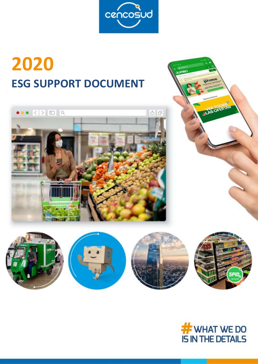

# **2020 ESG SUPPORT DOCUMENT**







**UAS OFERTAS**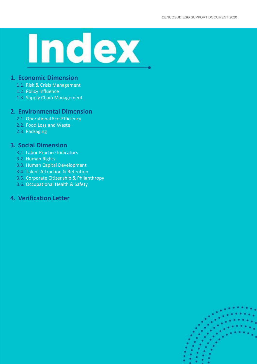# Index

#### **1. Economic Dimension**

- 1.1. Risk & Crisis Management
- 1.2. Policy Influence
- 1.3. Supply Chain Management

#### **2. Environmental Dimension**

- 2.1. Operational Eco-Efficiency
- 2.2. Food Loss and Waste
- 2.3. Packaging

#### **3. Social Dimension**

- 3.1. Labor Practice Indicators
- 3.2. Human Rights
- 3.3. Human Capital Development
- 3.4. Talent Attraction & Retention
- 3.5. Corporate Citizenship & Philanthropy
- 3.6. Occupational Health & Safety

## **4. Verification Letter**

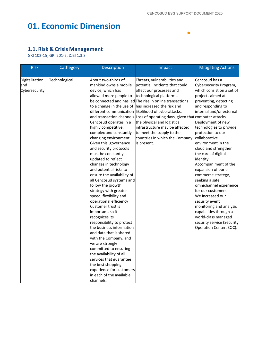$\bullet$ 

# **01. Economic Dimension**

#### **1.1. Risk & Crisis Management**

GRI 102-15; GRI 201-2; DJSI 1.3.3

| <b>Risk</b>    | Cathegory     | Description                | Impact                                                                         | <b>Mitigating Actions</b>  |
|----------------|---------------|----------------------------|--------------------------------------------------------------------------------|----------------------------|
|                |               |                            |                                                                                |                            |
| Digitalization | Technological | About two-thirds of        | Threats, vulnerabilities and                                                   | Cencosud has a             |
| and            |               | mankind owns a mobile      | potential incidents that could                                                 | Cybersecurity Program,     |
| Cybersecurity  |               | device, which has          | affect our processes and                                                       | which consist on a set of  |
|                |               | allowed more people to     | technological platforms.                                                       | projects aimed at          |
|                |               |                            | be connected and has led The rise in online transactions                       | preventing, detecting      |
|                |               |                            | to a change in the use of has increased the risk and                           | and responding to          |
|                |               |                            | different communication likelihood of cyberattacks.                            | internal and/or external   |
|                |               |                            | and transaction channels. Loss of operating days, given that computer attacks. |                            |
|                |               | Cencosud operates in a     | the physical and logistical                                                    | Deployment of new          |
|                |               | highly competitive,        | infrastructure may be affected,                                                | technologies to provide    |
|                |               | complex and constantly     | to meet the supply to the                                                      | protection to our          |
|                |               | changing environment.      | countries in which the Company                                                 | collaborative              |
|                |               | Given this, governance     | is present.                                                                    | environment in the         |
|                |               | and security protocols     |                                                                                | cloud and strengthen       |
|                |               | must be constantly         |                                                                                | the care of digital        |
|                |               | updated to reflect         |                                                                                | identity.                  |
|                |               | changes in technology      |                                                                                | Accompaniment of the       |
|                |               | and potential risks to     |                                                                                | expansion of our e-        |
|                |               | ensure the availability of |                                                                                | commerce strategy,         |
|                |               | all Cencosud systems and   |                                                                                | seeking a safe             |
|                |               | follow the growth          |                                                                                | omnichannel experience     |
|                |               | strategy with greater      |                                                                                | for our customers.         |
|                |               | speed, flexibility and     |                                                                                | We increased our           |
|                |               | operational efficiency     |                                                                                | security event             |
|                |               | Customer trust is          |                                                                                | monitoring and analysis    |
|                |               | important, so it           |                                                                                | capabilities through a     |
|                |               | recognizes its             |                                                                                | world-class managed        |
|                |               | responsibility to protect  |                                                                                | security service (Security |
|                |               | the business information   |                                                                                | Operation Center, SOC).    |
|                |               | and data that is shared    |                                                                                |                            |
|                |               | with the Company, and      |                                                                                |                            |
|                |               | we are strongly            |                                                                                |                            |
|                |               | committed to ensuring      |                                                                                |                            |
|                |               | the availability of all    |                                                                                |                            |
|                |               | services that guarantee    |                                                                                |                            |
|                |               | the best shopping          |                                                                                |                            |
|                |               | experience for customers   |                                                                                |                            |
|                |               | in each of the available   |                                                                                |                            |
|                |               | channels.                  |                                                                                |                            |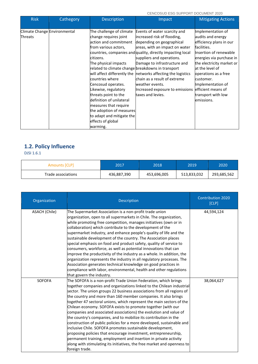CENCOSUD ESG SUPPORT DOCUMENT 2020

| <b>Risk</b>                                    | Cathegory | <b>Description</b>                                                                                                                                                                                                                                                                                                                                                                                                                   | Impact                                                                                                                                                                                                                                                                                                                                                                                                                           | <b>Mitigating Actions</b>                                                                                                                                                                                                                                                                                  |
|------------------------------------------------|-----------|--------------------------------------------------------------------------------------------------------------------------------------------------------------------------------------------------------------------------------------------------------------------------------------------------------------------------------------------------------------------------------------------------------------------------------------|----------------------------------------------------------------------------------------------------------------------------------------------------------------------------------------------------------------------------------------------------------------------------------------------------------------------------------------------------------------------------------------------------------------------------------|------------------------------------------------------------------------------------------------------------------------------------------------------------------------------------------------------------------------------------------------------------------------------------------------------------|
| Climate Change Environmental<br><b>Threats</b> |           | The challenge of climate<br>change requires joint<br>action and commitment<br>from various actors,<br>citizens.<br>The physical impacts<br>related to climate change breakdowns in transport<br>countries where<br>Cencosud operates.<br>Likewise, regulatory<br>threats point to the<br>definition of unilateral<br>measures that require<br>the adoption of measures<br>to adapt and mitigate the<br>effects of global<br>warming. | Events of water scarcity and<br>increased risk of flooding,<br>depending on geographical<br>areas, with an impact on water<br>countries, companies and quality, directly impacting local<br>suppliers and operations.<br>Damage to infrastructure and<br>will affect differently the networks affecting the logistics<br>chain as a result of extreme<br>weather events.<br>Increased exposure to emissions<br>taxes and levies. | Implementation of<br>audits and energy<br>efficiency plans in our<br>facilities.<br>Insertion of renewable<br>energies via purchase in<br>the electricity market or<br>at the level of<br>operations as a free<br>customer.<br>Implementation of<br>efficient means of<br>transport with low<br>emissions. |

# **1.2. Policy Influence**

DJSI 1.6.1

| Amounts [CLP]      | 2017        | 2018        | 2019        | 2020        |
|--------------------|-------------|-------------|-------------|-------------|
| Trade associations | 436,887,390 | 453,696,005 | 513,833,032 | 293,685,562 |

| Organization         | Description                                                                                                                                                                                                                                                                                                                                                                                                                                                                                                                                                                                                                                                                                                                                                                                                                                                                                                                                    | <b>Contribution 2020</b><br>[CLP] |
|----------------------|------------------------------------------------------------------------------------------------------------------------------------------------------------------------------------------------------------------------------------------------------------------------------------------------------------------------------------------------------------------------------------------------------------------------------------------------------------------------------------------------------------------------------------------------------------------------------------------------------------------------------------------------------------------------------------------------------------------------------------------------------------------------------------------------------------------------------------------------------------------------------------------------------------------------------------------------|-----------------------------------|
| <b>ASACH (Chile)</b> | The Supermarket Association is a non-profit trade union<br>organization, open to all supermarkets in Chile. The organization,<br>while promoting free competition, manages initiatives (own or in<br>collaboration) which contribute to the development of the<br>supermarket industry, and enhance people's quality of life and the<br>sustainable development of the country. The Association places<br>special emphasis on food and product safety, quality of service to<br>consumers, workforce, as well as potential innovations that can<br>improve the productivity of the industry as a whole. In addition, the<br>organization represents the industry in all regulatory processes. The<br>Association generates technical knowledge on good practices in<br>compliance with labor, environmental, health and other regulations<br>that govern the industry.                                                                         | 44,594,124                        |
| <b>SOFOFA</b>        | The SOFOFA is a non-profit Trade Union Federation, which brings<br>together companies and organizations linked to the Chilean industrial<br>sector. The union groups 22 business associations from all regions of<br>the country and more than 160 member companies. It also brings<br>together 47 sectoral unions, which represent the main sectors of the<br>Chilean economy. SOFOFA exists to promote together (with our<br>companies and associated associations) the evolution and value of<br>the country's companies, and to mobilize its contribution in the<br>construction of public policies for a more developed, sustainable and<br>inclusive Chile. SOFOFA promotes sustainable development,<br>proposing policies that encourage investment, entrepreneurship,<br>permanent training, employment and insertion in private activity<br>along with stimulating its initiatives, the free market and openness to<br>foreign trade. | 38,064,627                        |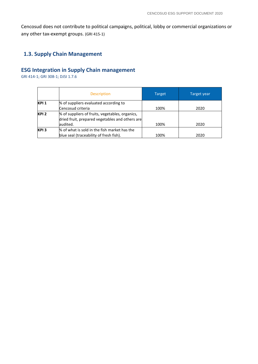Cencosud does not contribute to political campaigns, political, lobby or commercial organizations or any other tax-exempt groups. (GRI 415-1)

#### **1.3. Supply Chain Management**

# **ESG Integration in Supply Chain management**

GRI 414-1; GRI 308-1; DJSI 1.7.6

|                  | <b>Description</b>                                                                                 | Target | Target year |
|------------------|----------------------------------------------------------------------------------------------------|--------|-------------|
| KPI 1            | % of suppliers evaluated according to                                                              |        |             |
|                  | Cencosud criteria                                                                                  | 100%   | 2020        |
| KPI <sub>2</sub> | % of suppliers of fruits, vegetables, organics,<br>dried fruit, prepared vegetables and others are |        |             |
|                  | audited.                                                                                           | 100%   | 2020        |
| KPI <sub>3</sub> | % of what is sold in the fish market has the                                                       |        |             |
|                  | blue seal (traceability of fresh fish).                                                            | 100%   | 2020        |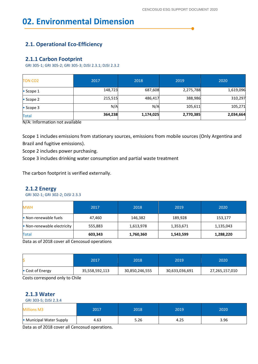# **02. Environmental Dimension**

#### **2.1. Operational Eco-Efficiency**

#### **2.1.1 Carbon Footprint**

GRI 305-1; GRI 305-2; GRI 305-3; DJSI 2.3.1; DJSI 2.3.2

| <b>Total</b><br><del>.</del><br>$\sim$ $\sim$ | 364,238<br>$\cdots$ | 1,174,025 | 2,770,385 | 2,034,664 |
|-----------------------------------------------|---------------------|-----------|-----------|-----------|
| $\bullet$ Scope 3                             | N/A                 | N/A       | 105,611   | 105,271   |
| $\bullet$ Scope 2                             | 215,515             | 486,417   | 388,986   | 310,297   |
| $\bullet$ Scope 1                             | 148,723             | 687,608   | 2,275,788 | 1,619,096 |
| <b>TON CO2</b>                                | 2017                | 2018      | 2019      | 2020      |

N/A: Information not available

Scope 1 includes emissions from stationary sources, emissions from mobile sources (Only Argentina and Brazil and fugitive emissions).

Scope 2 includes power purchasing.

Scope 3 includes drinking water consumption and partial waste treatment

The carbon footprint is verified externally.

#### **2.1.2 Energy**

GRI 302-1; GRI 302-2; DJSI 2.3.3

| <b>MWH</b>                  | 2017    | 2018      | 2019      | 2020      |
|-----------------------------|---------|-----------|-----------|-----------|
| • Non-renewable fuels       | 47,460  | 146,382   | 189,928   | 153,177   |
| • Non-renewable electricity | 555,883 | 1,613,978 | 1,353,671 | 1,135,043 |
| <b>Total</b>                | 603,343 | 1,760,360 | 1,543,599 | 1,288,220 |

Data as of 2018 cover all Cencosud operations

|                  | 2017           | 2018           | 2019           | 2020           |
|------------------|----------------|----------------|----------------|----------------|
| • Cost of Energy | 35,558,592,113 | 30,850,246,555 | 30,633,036,691 | 27,265,157,010 |

Costs correspond only to Chile

#### **2.1.3 Water**

GRI 303-5; DJSI 2.3.4

| <b>Millions M3</b>       | 2017 | 2018 | 2019 | 2020 |
|--------------------------|------|------|------|------|
| • Municipal Water Supply | 4.63 | 5.26 | 4.25 | 3.96 |

Data as of 2018 cover all Cencosud operations.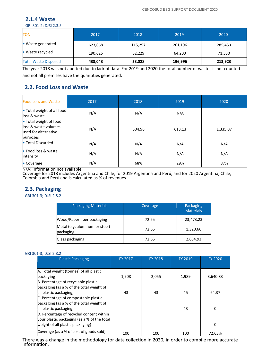#### **2.1.4 Waste**

GRI 301-2; DJSI 2.3.5

| <b>TON</b>                  | 2017    | 2018    | 2019    | 2020    |
|-----------------------------|---------|---------|---------|---------|
| $\bullet$ Waste generated   | 623,668 | 115,257 | 261,196 | 285,453 |
| • Waste recycled            | 190,625 | 62,229  | 64,200  | 71,530  |
| <b>Total Waste Disposed</b> | 433,043 | 53,028  | 196,996 | 213,923 |

The year 2018 was not audited due to lack of data. For 2019 and 2020 the total number of wastes is not counted and not all premises have the quantities generated.

#### **2.2. Food Loss and Waste**

| <b>Food Loss and Waste</b>                                                         | 2017     | 2018   | 2019   | 2020     |
|------------------------------------------------------------------------------------|----------|--------|--------|----------|
| • Total weight of all food<br>loss & waste                                         | N/A      | N/A    | N/A    |          |
| • Total weight of food<br>loss & waste volumes<br>used for alternative<br>purposes | N/A      | 504.96 | 613.13 | 1,335.07 |
| • Total Discarded                                                                  | N/A      | N/A    | N/A    | N/A      |
| • Food loss & waste<br>lintensity                                                  | N/A      | N/A    | N/A    | N/A      |
| • Coverage<br><del>.</del>                                                         | N/A<br>. | 68%    | 29%    | 87%      |

N/A: Information not available

Coverage for 2018 includes Argentina and Chile, for 2019 Argentina and Perú, and for 2020 Argentina, Chile, Colombia and Perú and is calculated as % of revenues.

#### **2.3. Packaging**

GRI 301-3; DJSI 2.8.2

| <b>Packaging Materials</b>                  | Coverage | Packaging<br><b>Materials</b> |
|---------------------------------------------|----------|-------------------------------|
| Wood/Paper fiber packaging                  | 72.65    | 23,473.23                     |
| Metal (e.g. aluminum or steel)<br>packaging | 72.65    | 1,320.66                      |
| Glass packaging                             | 72.65    | 2,654.93                      |

#### GRI 301-3; DJSI 2.8.2

| <b>Plastic Packaging</b>                    | FY 2017 | <b>FY 2018</b> | FY 2019 | <b>FY 2020</b> |
|---------------------------------------------|---------|----------------|---------|----------------|
|                                             |         |                |         |                |
| A. Total weight (tonnes) of all plastic     |         |                |         |                |
| packaging                                   | 1,908   | 2,055          | 1,989   | 3,640.83       |
| B. Percentage of recyclable plastic         |         |                |         |                |
| packaging (as a % of the total weight of    |         |                |         |                |
| all plastic packaging)                      | 43      | 43             | 45      | 64.37          |
| C. Percentage of compostable plastic        |         |                |         |                |
| packaging (as a % of the total weight of    |         |                |         |                |
| all plastic packaging)                      |         |                | 43      | 0              |
| D. Percentage of recycled content within    |         |                |         |                |
| your plastic packaging (as a % of the total |         |                |         |                |
| weight of all plastic packaging)            |         |                |         | 0              |
| Coverage (as a % of cost of goods sold)     | 100     | 100            | 100     | 72.65%         |

There was a change in the methodology for data collection in 2020, in order to compile more accurate information.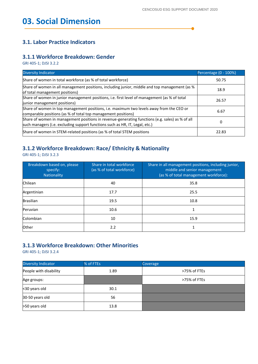▲

#### **3.1. Labor Practice Indicators**

#### **3.1.1 Workforce Breakdown: Gender**

GRI 405-1; DJSI 3.2.2

| <b>Diversity Indicator</b>                                                                                                                                                      | Percentage (0 - 100%) |
|---------------------------------------------------------------------------------------------------------------------------------------------------------------------------------|-----------------------|
| Share of women in total workforce (as % of total workforce)                                                                                                                     | 50.75                 |
| Share of women in all management positions, including junior, middle and top management (as %<br>of total management positions)                                                 | 18.9                  |
| Share of women in junior management positions, i.e. first level of management (as % of total<br>junior management positions)                                                    | 26.57                 |
| Share of women in top management positions, i.e. maximum two levels away from the CEO or<br>comparable positions (as % of total top management positions)                       | 6.67                  |
| Share of women in management positions in revenue-generating functions (e.g. sales) as % of all<br>such managers (i.e. excluding support functions such as HR, IT, Legal, etc.) | 0                     |
| Share of women in STEM-related positions (as % of total STEM positions                                                                                                          | 22.83                 |

#### **3.1.2 Workforce Breakdown: Race/ Ethnicity & Nationality**

GRI 405-1; DJSI 3.2.3

| Breakdown based on, please<br>specify:<br>Nationality | Share in total workforce<br>(as % of total workforce) | Share in all management positions, including junior,<br>middle and senior management<br>(as % of total management workforce): |
|-------------------------------------------------------|-------------------------------------------------------|-------------------------------------------------------------------------------------------------------------------------------|
| <b>Chilean</b>                                        | 40                                                    | 35.8                                                                                                                          |
| Argentinian                                           | 17.7                                                  | 25.5                                                                                                                          |
| <b>Brasilian</b>                                      | 19.5                                                  | 10.8                                                                                                                          |
| Peruvian                                              | 10.6                                                  |                                                                                                                               |
| Colombian                                             | 10                                                    | 15.9                                                                                                                          |
| <b>Other</b>                                          | 2.2                                                   |                                                                                                                               |

## **3.1.3 Workforce Breakdown: Other Minorities**

GRI 405-1; DJSI 3.2.4

| <b>Diversity Indicator</b> | % of FTEs | <b>Coverage</b> |
|----------------------------|-----------|-----------------|
| People with disability     | 1.89      | >75% of FTEs    |
| Age groups:                |           | >75% of FTEs    |
| <30 years old              | 30.1      |                 |
| 30-50 years old            | 56        |                 |
| >50 years old              | 13.8      |                 |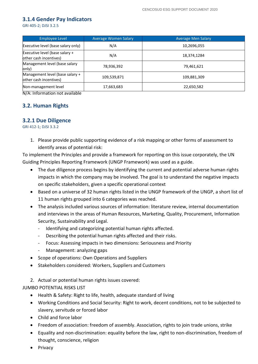#### **3.1.4 Gender Pay Indicators**

GRI 405-2; DJSI 3.2.5

| <b>Employee Level</b>                                     | <b>Average Women Salary</b> | <b>Average Men Salary</b> |
|-----------------------------------------------------------|-----------------------------|---------------------------|
| Executive level (base salary only)                        | N/A                         | 10,2696,055               |
| Executive level (base salary +<br>other cash incentives)  | N/A                         | 18,374,1284               |
| Management level (base salary<br>only)                    | 78,936,392                  | 79,461,621                |
| Management level (base salary +<br>other cash incentives) | 109,539,871                 | 109,881,309               |
| Non-management level<br>$\overline{\phantom{a}}$          | 17,663,683                  | 22,650,582                |

N/A: Information not available

#### **3.2. Human Rights**

#### **3.2.1 Due Diligence**

GRI 412-1; DJSI 3.3.2

1. Please provide public supporting evidence of a risk mapping or other forms of assessment to identify areas of potential risk:

To implement the Principles and provide a framework for reporting on this issue corporately, the UN Guiding Principles Reporting Framework (UNGP Framework) was used as a guide.

- The due diligence process begins by identifying the current and potential adverse human rights impacts in which the company may be involved. The goal is to understand the negative impacts on specific stakeholders, given a specific operational context
- Based on a universe of 32 human rights listed in the UNGP framework of the UNGP, a short list of 11 human rights grouped into 6 categories was reached.
- The analysis included various sources of information: literature review, internal documentation and interviews in the areas of Human Resources, Marketing, Quality, Procurement, Information Security, Sustainability and Legal.
	- Identifying and categorizing potential human rights affected.
	- Describing the potential human rights affected and their risks.
	- Focus: Assessing impacts in two dimensions: Seriousness and Priority
	- Management: analyzing gaps
- Scope of operations: Own Operations and Suppliers
- Stakeholders considered: Workers, Suppliers and Customers
- 2. Actual or potential human rights issues covered:

JUMBO POTENTIAL RISKS LIST

- Health & Safety: Right to life, health, adequate standard of living
- Working Conditions and Social Security: Right to work, decent conditions, not to be subjected to slavery, servitude or forced labor
- Child and force labor
- Freedom of association: freedom of assembly. Association, rights to join trade unions, strike
- Equality and non-discrimination: equality before the law, right to non-discrimination, freedom of thought, conscience, religion
- Privacy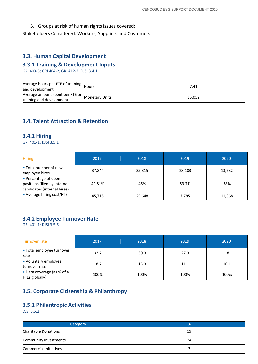3. Groups at risk of human rights issues covered:

Stakeholders Considered: Workers, Suppliers and Customers

#### **3.3. Human Capital Development**

#### **3.3.1 Training & Development Inputs**

GRI 403-5; GRI 404-2; GRI 412-2; DJSI 3.4.1

| Average hours per FTE of training  <br>and development                      | Hours | 7.41   |
|-----------------------------------------------------------------------------|-------|--------|
| Average amount spent per FTE on Monetary Units<br>training and development. |       | 15,052 |

#### **3.4. Talent Attraction & Retention**

#### **3.4.1 Hiring**

GRI 401-1; DJSI 3.5.1

| <b>Hiring</b>                                                                       | 2017   | 2018   | 2019   | 2020   |
|-------------------------------------------------------------------------------------|--------|--------|--------|--------|
| • Total number of new<br>employee hires                                             | 37,844 | 35,315 | 28,103 | 13,732 |
| • Percentage of open<br>positions filled by internal<br>candidates (internal hires) | 40.81% | 45%    | 53.7%  | 38%    |
| • Average hiring cost/FTE                                                           | 45,718 | 25,648 | 7,785  | 11,368 |

#### **3.4.2 Employee Turnover Rate**

GRI 401-1; DJSI 3.5.6

| <b>Turnover rate</b>                           | 2017 | 2018 |      | 2020 |
|------------------------------------------------|------|------|------|------|
| • Total employee turnover<br>rate              | 32.7 | 30.3 | 27.3 | 18   |
| • Voluntary employee<br>turnover rate          | 18.7 | 15.3 | 11.1 | 10.1 |
| • Data coverage (as % of all<br>FTEs globally) | 100% | 100% | 100% | 100% |

#### **3.5. Corporate Citizenship & Philanthropy**

#### **3.5.1 Philantropic Activities**

DJSI 3.6.2

| Category               | 7n |
|------------------------|----|
| Charitable Donations   | 59 |
| Community Investments  | 34 |
| Commercial Initiatives |    |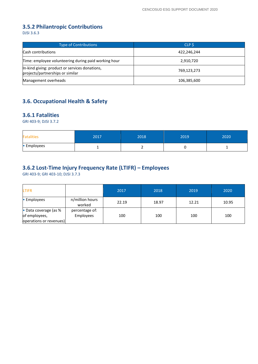## **3.5.2 Philantropic Contributions**

DJSI 3.6.3

| <b>Type of Contributions</b>                                                       | CLP S       |
|------------------------------------------------------------------------------------|-------------|
| Cash contributions                                                                 | 422,246,244 |
| Time: employee volunteering during paid working hour                               | 2,910,720   |
| In-kind giving: product or services donations,<br>projects/partnerships or similar | 769,123,273 |
| Management overheads                                                               | 106,385,600 |

#### **3.6. Occupational Health & Safety**

#### **3.6.1 Fatalities**

GRI 403-9; DJSI 3.7.2

| <b>Fatalities</b> | 2017 | 2018 | 2019 | 2020     |
|-------------------|------|------|------|----------|
| • Employees       |      |      |      | <b>.</b> |

#### **3.6.2 Lost-Time Injury Frequency Rate (LTIFR) – Employees**

GRI 403-9; GRI 403-10; DJSI 3.7.3

| <b>LTIFR</b>                                                      |                             | 2017  | 2018  | 2019  | 2020  |
|-------------------------------------------------------------------|-----------------------------|-------|-------|-------|-------|
| • Employees                                                       | n/million hours<br>worked   | 22.19 | 18.97 | 12.21 | 10.95 |
| • Data coverage (as %<br>of employees,<br>operations or revenues) | percentage of:<br>Employees | 100   | 100   | 100   | 100   |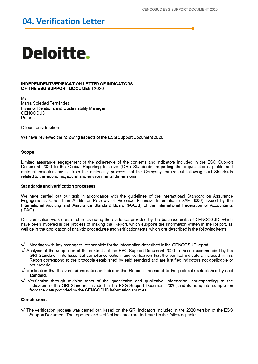# 04. Verification Letter

# Deloitte.

#### INDEPENDENT VERIFICATION LETTER OF INDICATORS OF THE ESG SUPPORT DOCUMENT 2020

Ms María Soledad Fernández Investor Relations and Sustainability Manager CENCOSUD Present

Of our consideration:

We have reviewed the following aspects of the ESG Support Document 2020

#### Scope

Limited assurance engagement of the adherence of the contents and indicators included in the ESG Support Document 2020 to the Global Reporting Initiative (GRI) Standards, regarding the organization's profile and material indicators arising from the materiality process that the Company carried out following said Standards related to the economic, social, and environmental dimensions.

#### Standards and verification processes

We have carried out our task in accordance with the guidelines of the International Standard on Assurance Engagements Other than Audits or Reviews of Historical Financial Information (ISAE 3000) issued by the International Auditing and Assurance Standard Board (IAASB) of the International Federation of Accountants  $(IFAC).$ 

Our verification work consisted in reviewing the evidence provided by the business units of CENCOSUD, which have been involved in the process of making this Report, which supports the information written in the Report, as well as in the application of analytic procedures and verification tests, which are described in the following items:

Meetings with key managers, responsible for the information described in the CENCOSUD report.

- $\sqrt$  Analysis of the adaptation of the contents of the ESG Support Document 2020 to those recommended by the GRI Standard in its Essential compliance option, and verification that the verified indicators included in this Report correspond to the protocols established by said standard and are justified indicators not applicable or not material.
- $\sqrt{}$  Verification that the verified indicators included in this Report correspond to the protocols established by said standard.
- $\sqrt{}$  Verification through revision tests of the quantitative and qualitative information, corresponding to the indicators of the GRI Standard included in the ESG Support Document 2020, and its adequate compilation from the data provided by the CENCOSUD information sources.

#### **Conclusions**

 $\sqrt{}$  The verification process was carried out based on the GRI indicators included in the 2020 version of the ESG Support Document. The reported and verified indicators are indicated in the following table: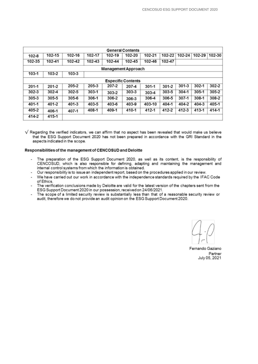| <b>General Contents</b>    |           |        |           |           |           |           |           |           |        |           |
|----------------------------|-----------|--------|-----------|-----------|-----------|-----------|-----------|-----------|--------|-----------|
| $102 - 8$                  | 102-15    | 102-16 | 102-17    | 102-19    | 102-20    | 102-21    | 102-22    | 102-24    | 102-29 | 102-30    |
| 102-35                     | 102-41    | 102-42 | 102-43    | 102-44    | 102-45    | 102-46    | 102-47    |           |        |           |
| <b>Management Approach</b> |           |        |           |           |           |           |           |           |        |           |
| 103-1                      | 103-2     | 103-3  |           |           |           |           |           |           |        |           |
| <b>Especific Contents</b>  |           |        |           |           |           |           |           |           |        |           |
| $201 - 1$                  | $201 - 2$ | 205-2  | 205-3     | 207-2     | 207-4     | $301 - 1$ | $301 - 2$ | $301 - 3$ | 302-1  | 302-2     |
| $302 - 3$                  | 302-4     | 302-5  | $303 - 1$ | $303 - 2$ | $303 - 3$ | $303 - 4$ | $303 - 5$ | 304-1     | 305-1  | $305 - 2$ |
| $305 - 3$                  | 305-5     | 305-6  | $306 - 1$ | $306 - 2$ | 306-3     | 306-4     | 306-5     | 307-1     | 308-1  | 308-2     |
| 401-1                      | 401-2     | 401-3  | 403-5     | 403-6     | 403-9     | 403-10    | 404-1     | 404-2     | 404-3  | 405-1     |
| 405-2                      | 406-1     | 407-1  | 408-1     | 409-1     | 410-1     | 412-1     | 412-2     | 412-3     | 413-1  | 414-1     |
| 414-2                      | 415-1     |        |           |           |           |           |           |           |        |           |

 $\sqrt$  Regarding the verified indicators, we can affirm that no aspect has been revealed that would make us believe that the ESG Support Document 2020 has not been prepared in accordance with the GRI Standard in the aspects indicated in the scope.

#### Responsibilities of the management of CENCOSUD and Deloitte

- The preparation of the ESG Support Document 2020, as well as its content, is the responsibility of CENCOSUD, which is also responsible for defining, adapting and maintaining the management and internal control systems from which the information is obtained.
- Our responsibility is to issue an independent report, based on the procedures applied in our review.
- We have carried out our work in accordance with the independence standards required by the IFAC Code of Ethics.
- The verification conclusions made by Deloitte are valid for the latest version of the chapters sent from the ESG Support Document 2020 in our possession, received on 24/06/2021.
- The scope of a limited security review is substantially less than that of a reasonable security review or audit, therefore we do not provide an audit opinion on the ESG Support Document 2020.

Fernando Gaziano Partner July 05, 2021